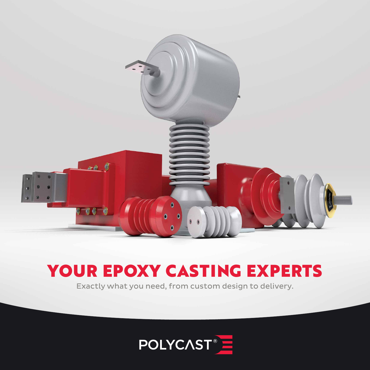

# YOUR EPOXY CASTING EXPERTS

Exactly what you need, from custom design to delivery.

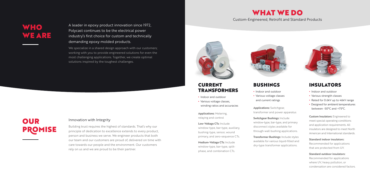



## INSULATORS

- Indoor and outdoor
- Various strength classes
- Rated for 0.6kV up to 46kV range
- Designed for ambient temperatures between -50°C and +75°C.

**Custom Insulators:** Engineered to meet special operating conditions and application requirements. All insulators are designed to meet North American and International standards.

**Standard indoor insulators:**  Recommended for applications that are protected from UV.

We specialize in a shared design approach with our customers; working with you to provide engineered solutions for even the most challenging applications. Together, we create optimal solutions inspired by the toughest challenges.



**Standard outdoor insulators:**  Recommended for applications where UV, heavy pollution, or condensation are considered factors.

A leader in epoxy product innovation since 1972, Polycast continues to be the electrical power industry's first choice for custom and technically demanding epoxy molded products.

# WHO WE ARE

**Switchgear Bushings: Include** window-type, bar-type, and primary disconnect styles available for through-wall bushing applications.

OUR

PROMISE

# Innovation with Integrity

Building trust requires the highest of standards. That's why our principle of dedication to excellence extends to every product, person and business we serve. We engineer products that both our team and our customers are proud of, delivered on time with care towards our people and the environment. Our customers rely on us and we are proud to be their partner.

CURRENT

TRANSFORMERS

• Indoor and outdoor • Various voltage classes,

winding ratios and accuracies

**Applications:** Metering, relaying and control

**Low-Voltage CTs:** Include

window-type, bar-type, auxiliary, bushing-type, sensor, wound primary, and zero-sequence CTs.

**Medium-Voltage CTs:** Include window-type, bar-type, splitphase, and combination CTs.



## BUSHINGS

- Indoor and outdoor
- Various voltage classes and current ratings

**Applications:** Switchgear, transformer and power apparatus

**Transformer Bushings:** Include styles available for various liquid-filled and dry-type transformer applications.